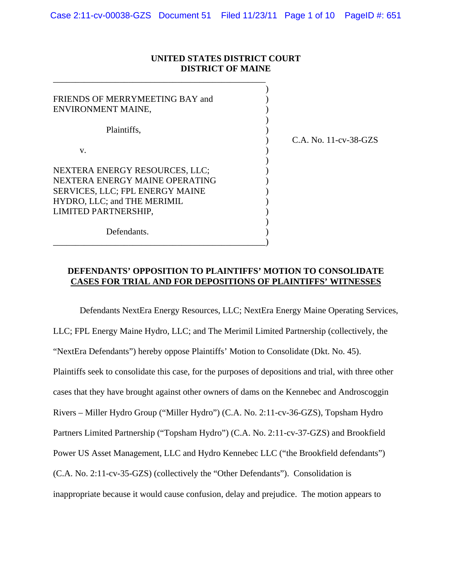#### **UNITED STATES DISTRICT COURT DISTRICT OF MAINE**

\_\_\_\_\_\_\_\_\_\_\_\_\_\_\_\_\_\_\_\_\_\_\_\_\_\_\_\_\_\_\_\_\_\_\_\_\_\_\_\_\_\_\_\_\_\_\_\_

| FRIENDS OF MERRYMEETING BAY and<br>ENVIRONMENT MAINE,                                                                                                      |                       |
|------------------------------------------------------------------------------------------------------------------------------------------------------------|-----------------------|
| Plaintiffs,                                                                                                                                                | C.A. No. 11-cv-38-GZS |
| V.                                                                                                                                                         |                       |
| NEXTERA ENERGY RESOURCES, LLC;<br>NEXTERA ENERGY MAINE OPERATING<br>SERVICES, LLC; FPL ENERGY MAINE<br>HYDRO, LLC; and THE MERIMIL<br>LIMITED PARTNERSHIP, |                       |
| Defendants.                                                                                                                                                |                       |

### **DEFENDANTS' OPPOSITION TO PLAINTIFFS' MOTION TO CONSOLIDATE CASES FOR TRIAL AND FOR DEPOSITIONS OF PLAINTIFFS' WITNESSES**

Defendants NextEra Energy Resources, LLC; NextEra Energy Maine Operating Services, LLC; FPL Energy Maine Hydro, LLC; and The Merimil Limited Partnership (collectively, the "NextEra Defendants") hereby oppose Plaintiffs' Motion to Consolidate (Dkt. No. 45). Plaintiffs seek to consolidate this case, for the purposes of depositions and trial, with three other cases that they have brought against other owners of dams on the Kennebec and Androscoggin Rivers – Miller Hydro Group ("Miller Hydro") (C.A. No. 2:11-cv-36-GZS), Topsham Hydro Partners Limited Partnership ("Topsham Hydro") (C.A. No. 2:11-cv-37-GZS) and Brookfield Power US Asset Management, LLC and Hydro Kennebec LLC ("the Brookfield defendants") (C.A. No. 2:11-cv-35-GZS) (collectively the "Other Defendants"). Consolidation is inappropriate because it would cause confusion, delay and prejudice. The motion appears to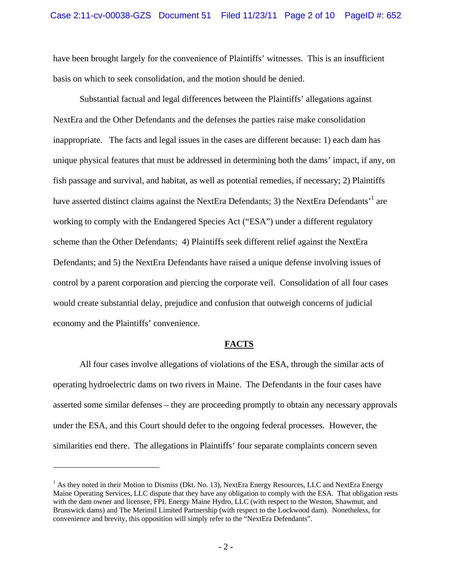have been brought largely for the convenience of Plaintiffs' witnesses. This is an insufficient basis on which to seek consolidation, and the motion should be denied.

Substantial factual and legal differences between the Plaintiffs' allegations against NextEra and the Other Defendants and the defenses the parties raise make consolidation inappropriate. The facts and legal issues in the cases are different because: 1) each dam has unique physical features that must be addressed in determining both the dams' impact, if any, on fish passage and survival, and habitat, as well as potential remedies, if necessary; 2) Plaintiffs have asserted distinct claims against the NextEra Defendants; 3) the NextEra Defendants<sup>, 1</sup> are working to comply with the Endangered Species Act ("ESA") under a different regulatory scheme than the Other Defendants; 4) Plaintiffs seek different relief against the NextEra Defendants; and 5) the NextEra Defendants have raised a unique defense involving issues of control by a parent corporation and piercing the corporate veil. Consolidation of all four cases would create substantial delay, prejudice and confusion that outweigh concerns of judicial economy and the Plaintiffs' convenience.

#### **FACTS**

All four cases involve allegations of violations of the ESA, through the similar acts of operating hydroelectric dams on two rivers in Maine. The Defendants in the four cases have asserted some similar defenses – they are proceeding promptly to obtain any necessary approvals under the ESA, and this Court should defer to the ongoing federal processes. However, the similarities end there. The allegations in Plaintiffs' four separate complaints concern seven

<sup>&</sup>lt;sup>1</sup> As they noted in their Motion to Dismiss (Dkt. No. 13), NextEra Energy Resources, LLC and NextEra Energy Maine Operating Services, LLC dispute that they have any obligation to comply with the ESA. That obligation rests with the dam owner and licensee, FPL Energy Maine Hydro, LLC (with respect to the Weston, Shawmut, and Brunswick dams) and The Merimil Limited Partnership (with respect to the Lockwood dam). Nonetheless, for convenience and brevity, this opposition will simply refer to the "NextEra Defendants".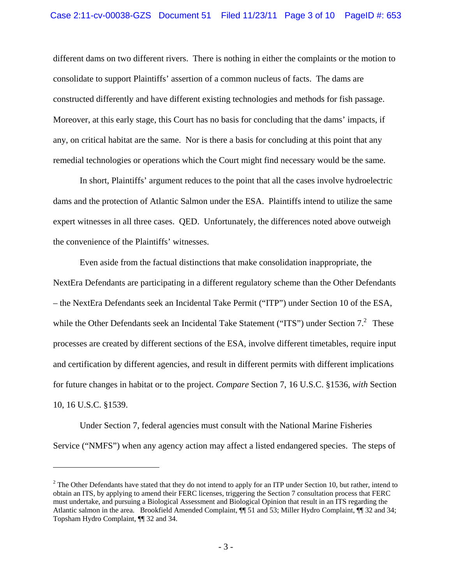different dams on two different rivers. There is nothing in either the complaints or the motion to consolidate to support Plaintiffs' assertion of a common nucleus of facts. The dams are constructed differently and have different existing technologies and methods for fish passage. Moreover, at this early stage, this Court has no basis for concluding that the dams' impacts, if any, on critical habitat are the same. Nor is there a basis for concluding at this point that any remedial technologies or operations which the Court might find necessary would be the same.

In short, Plaintiffs' argument reduces to the point that all the cases involve hydroelectric dams and the protection of Atlantic Salmon under the ESA. Plaintiffs intend to utilize the same expert witnesses in all three cases. QED. Unfortunately, the differences noted above outweigh the convenience of the Plaintiffs' witnesses.

Even aside from the factual distinctions that make consolidation inappropriate, the NextEra Defendants are participating in a different regulatory scheme than the Other Defendants – the NextEra Defendants seek an Incidental Take Permit ("ITP") under Section 10 of the ESA, while the Other Defendants seek an Incidental Take Statement ("ITS") under Section 7.<sup>2</sup> These processes are created by different sections of the ESA, involve different timetables, require input and certification by different agencies, and result in different permits with different implications for future changes in habitat or to the project. *Compare* Section 7, 16 U.S.C. §1536, *with* Section 10, 16 U.S.C. §1539.

Under Section 7, federal agencies must consult with the National Marine Fisheries Service ("NMFS") when any agency action may affect a listed endangered species. The steps of

 $2^2$  The Other Defendants have stated that they do not intend to apply for an ITP under Section 10, but rather, intend to obtain an ITS, by applying to amend their FERC licenses, triggering the Section 7 consultation process that FERC must undertake, and pursuing a Biological Assessment and Biological Opinion that result in an ITS regarding the Atlantic salmon in the area. Brookfield Amended Complaint, ¶¶ 51 and 53; Miller Hydro Complaint, ¶¶ 32 and 34; Topsham Hydro Complaint, ¶¶ 32 and 34.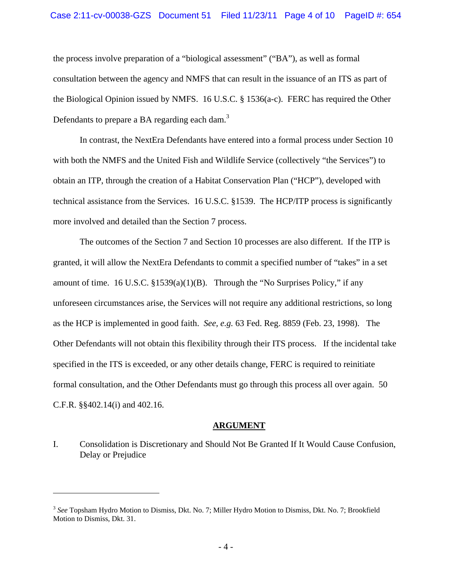the process involve preparation of a "biological assessment" ("BA"), as well as formal consultation between the agency and NMFS that can result in the issuance of an ITS as part of the Biological Opinion issued by NMFS. 16 U.S.C. § 1536(a-c). FERC has required the Other Defendants to prepare a BA regarding each dam.<sup>3</sup>

In contrast, the NextEra Defendants have entered into a formal process under Section 10 with both the NMFS and the United Fish and Wildlife Service (collectively "the Services") to obtain an ITP, through the creation of a Habitat Conservation Plan ("HCP"), developed with technical assistance from the Services. 16 U.S.C. §1539. The HCP/ITP process is significantly more involved and detailed than the Section 7 process.

The outcomes of the Section 7 and Section 10 processes are also different. If the ITP is granted, it will allow the NextEra Defendants to commit a specified number of "takes" in a set amount of time. 16 U.S.C.  $\S 1539(a)(1)(B)$ . Through the "No Surprises Policy," if any unforeseen circumstances arise, the Services will not require any additional restrictions, so long as the HCP is implemented in good faith. *See, e.g.* 63 Fed. Reg. 8859 (Feb. 23, 1998). The Other Defendants will not obtain this flexibility through their ITS process. If the incidental take specified in the ITS is exceeded, or any other details change, FERC is required to reinitiate formal consultation, and the Other Defendants must go through this process all over again. 50 C.F.R. §§402.14(i) and 402.16.

#### **ARGUMENT**

I. Consolidation is Discretionary and Should Not Be Granted If It Would Cause Confusion, Delay or Prejudice

<sup>3</sup> *See* Topsham Hydro Motion to Dismiss, Dkt. No. 7; Miller Hydro Motion to Dismiss, Dkt. No. 7; Brookfield Motion to Dismiss, Dkt. 31.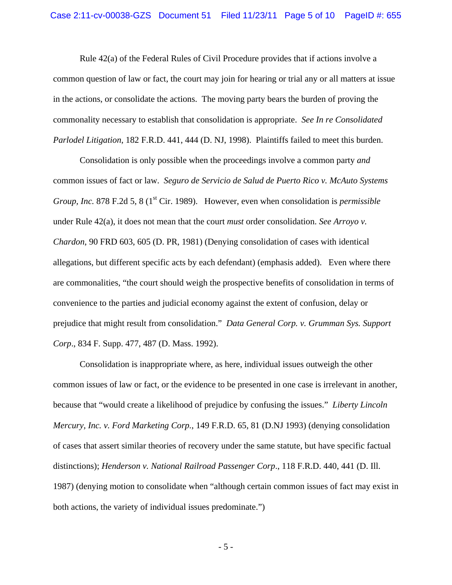Rule 42(a) of the Federal Rules of Civil Procedure provides that if actions involve a common question of law or fact, the court may join for hearing or trial any or all matters at issue in the actions, or consolidate the actions. The moving party bears the burden of proving the commonality necessary to establish that consolidation is appropriate. *See In re Consolidated Parlodel Litigation*, 182 F.R.D. 441, 444 (D. NJ, 1998). Plaintiffs failed to meet this burden.

Consolidation is only possible when the proceedings involve a common party *and*  common issues of fact or law. *Seguro de Servicio de Salud de Puerto Rico v. McAuto Systems Group, Inc.* 878 F.2d 5, 8 (1<sup>st</sup> Cir. 1989). However, even when consolidation is *permissible* under Rule 42(a), it does not mean that the court *must* order consolidation. *See Arroyo v. Chardon*, 90 FRD 603, 605 (D. PR, 1981) (Denying consolidation of cases with identical allegations, but different specific acts by each defendant) (emphasis added). Even where there are commonalities, "the court should weigh the prospective benefits of consolidation in terms of convenience to the parties and judicial economy against the extent of confusion, delay or prejudice that might result from consolidation." *Data General Corp. v. Grumman Sys. Support Corp*., 834 F. Supp. 477, 487 (D. Mass. 1992).

Consolidation is inappropriate where, as here, individual issues outweigh the other common issues of law or fact, or the evidence to be presented in one case is irrelevant in another, because that "would create a likelihood of prejudice by confusing the issues." *Liberty Lincoln Mercury, Inc. v. Ford Marketing Corp.*, 149 F.R.D. 65, 81 (D.NJ 1993) (denying consolidation of cases that assert similar theories of recovery under the same statute, but have specific factual distinctions); *Henderson v. National Railroad Passenger Corp*., 118 F.R.D. 440, 441 (D. Ill. 1987) (denying motion to consolidate when "although certain common issues of fact may exist in both actions, the variety of individual issues predominate.")

 $-5 -$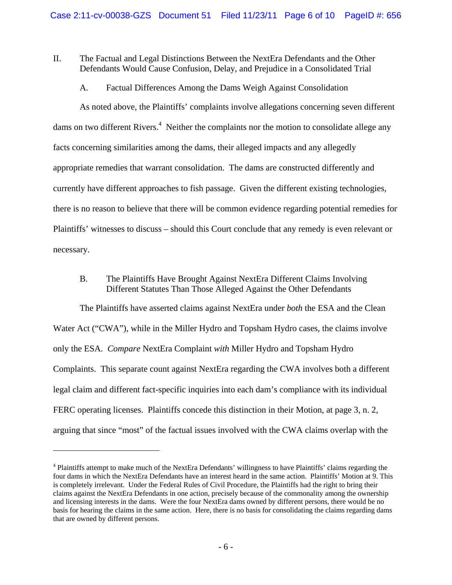## II. The Factual and Legal Distinctions Between the NextEra Defendants and the Other Defendants Would Cause Confusion, Delay, and Prejudice in a Consolidated Trial

A. Factual Differences Among the Dams Weigh Against Consolidation

As noted above, the Plaintiffs' complaints involve allegations concerning seven different dams on two different Rivers.<sup>4</sup> Neither the complaints nor the motion to consolidate allege any facts concerning similarities among the dams, their alleged impacts and any allegedly appropriate remedies that warrant consolidation. The dams are constructed differently and currently have different approaches to fish passage. Given the different existing technologies, there is no reason to believe that there will be common evidence regarding potential remedies for Plaintiffs' witnesses to discuss – should this Court conclude that any remedy is even relevant or necessary.

## B. The Plaintiffs Have Brought Against NextEra Different Claims Involving Different Statutes Than Those Alleged Against the Other Defendants

The Plaintiffs have asserted claims against NextEra under *both* the ESA and the Clean Water Act ("CWA"), while in the Miller Hydro and Topsham Hydro cases, the claims involve only the ESA. *Compare* NextEra Complaint *with* Miller Hydro and Topsham Hydro Complaints. This separate count against NextEra regarding the CWA involves both a different legal claim and different fact-specific inquiries into each dam's compliance with its individual FERC operating licenses. Plaintiffs concede this distinction in their Motion, at page 3, n. 2, arguing that since "most" of the factual issues involved with the CWA claims overlap with the

<sup>&</sup>lt;sup>4</sup> Plaintiffs attempt to make much of the NextEra Defendants' willingness to have Plaintiffs' claims regarding the four dams in which the NextEra Defendants have an interest heard in the same action. Plaintiffs' Motion at 9. This is completely irrelevant. Under the Federal Rules of Civil Procedure, the Plaintiffs had the right to bring their claims against the NextEra Defendants in one action, precisely because of the commonality among the ownership and licensing interests in the dams. Were the four NextEra dams owned by different persons, there would be no basis for hearing the claims in the same action. Here, there is no basis for consolidating the claims regarding dams that are owned by different persons.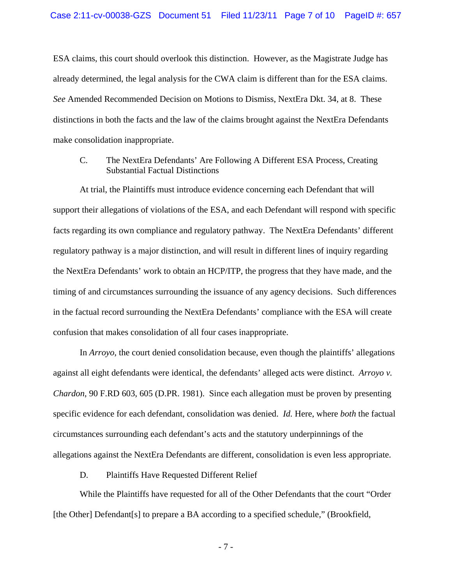ESA claims, this court should overlook this distinction. However, as the Magistrate Judge has already determined, the legal analysis for the CWA claim is different than for the ESA claims. *See* Amended Recommended Decision on Motions to Dismiss, NextEra Dkt. 34, at 8. These distinctions in both the facts and the law of the claims brought against the NextEra Defendants make consolidation inappropriate.

C. The NextEra Defendants' Are Following A Different ESA Process, Creating Substantial Factual Distinctions

At trial, the Plaintiffs must introduce evidence concerning each Defendant that will support their allegations of violations of the ESA, and each Defendant will respond with specific facts regarding its own compliance and regulatory pathway. The NextEra Defendants' different regulatory pathway is a major distinction, and will result in different lines of inquiry regarding the NextEra Defendants' work to obtain an HCP/ITP, the progress that they have made, and the timing of and circumstances surrounding the issuance of any agency decisions. Such differences in the factual record surrounding the NextEra Defendants' compliance with the ESA will create confusion that makes consolidation of all four cases inappropriate.

In *Arroyo*, the court denied consolidation because, even though the plaintiffs' allegations against all eight defendants were identical, the defendants' alleged acts were distinct. *Arroyo v. Chardon*, 90 F.RD 603, 605 (D.PR. 1981). Since each allegation must be proven by presenting specific evidence for each defendant, consolidation was denied. *Id.* Here, where *both* the factual circumstances surrounding each defendant's acts and the statutory underpinnings of the allegations against the NextEra Defendants are different, consolidation is even less appropriate.

D. Plaintiffs Have Requested Different Relief

While the Plaintiffs have requested for all of the Other Defendants that the court "Order [the Other] Defendant[s] to prepare a BA according to a specified schedule," (Brookfield,

- 7 -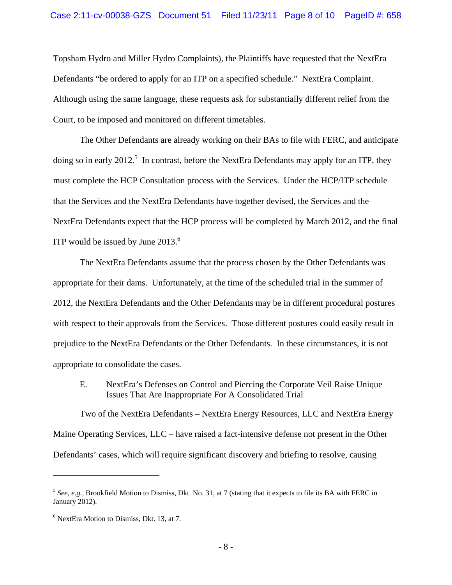Topsham Hydro and Miller Hydro Complaints), the Plaintiffs have requested that the NextEra Defendants "be ordered to apply for an ITP on a specified schedule." NextEra Complaint. Although using the same language, these requests ask for substantially different relief from the Court, to be imposed and monitored on different timetables.

The Other Defendants are already working on their BAs to file with FERC, and anticipate doing so in early 2012.<sup>5</sup> In contrast, before the NextEra Defendants may apply for an ITP, they must complete the HCP Consultation process with the Services. Under the HCP/ITP schedule that the Services and the NextEra Defendants have together devised, the Services and the NextEra Defendants expect that the HCP process will be completed by March 2012, and the final ITP would be issued by June  $2013<sup>6</sup>$ 

The NextEra Defendants assume that the process chosen by the Other Defendants was appropriate for their dams. Unfortunately, at the time of the scheduled trial in the summer of 2012, the NextEra Defendants and the Other Defendants may be in different procedural postures with respect to their approvals from the Services. Those different postures could easily result in prejudice to the NextEra Defendants or the Other Defendants. In these circumstances, it is not appropriate to consolidate the cases.

E. NextEra's Defenses on Control and Piercing the Corporate Veil Raise Unique Issues That Are Inappropriate For A Consolidated Trial

Two of the NextEra Defendants – NextEra Energy Resources, LLC and NextEra Energy Maine Operating Services, LLC – have raised a fact-intensive defense not present in the Other Defendants' cases, which will require significant discovery and briefing to resolve, causing

<sup>&</sup>lt;sup>5</sup> See, e.g., Brookfield Motion to Dismiss, Dkt. No. 31, at 7 (stating that it expects to file its BA with FERC in January 2012).

<sup>6</sup> NextEra Motion to Dismiss, Dkt. 13, at 7.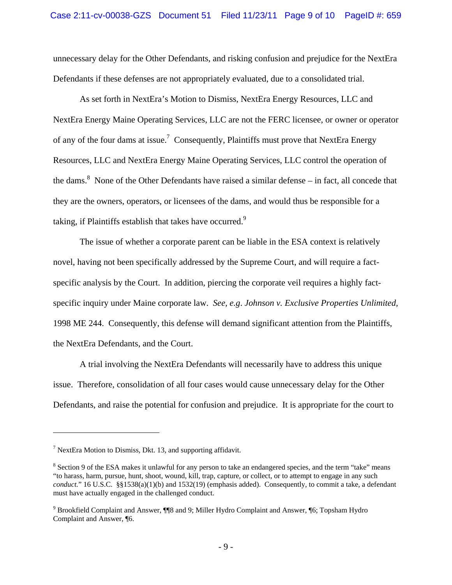unnecessary delay for the Other Defendants, and risking confusion and prejudice for the NextEra Defendants if these defenses are not appropriately evaluated, due to a consolidated trial.

As set forth in NextEra's Motion to Dismiss, NextEra Energy Resources, LLC and NextEra Energy Maine Operating Services, LLC are not the FERC licensee, or owner or operator of any of the four dams at issue.<sup>7</sup> Consequently, Plaintiffs must prove that NextEra Energy Resources, LLC and NextEra Energy Maine Operating Services, LLC control the operation of the dams.<sup>8</sup> None of the Other Defendants have raised a similar defense  $-$  in fact, all concede that they are the owners, operators, or licensees of the dams, and would thus be responsible for a taking, if Plaintiffs establish that takes have occurred.<sup>9</sup>

The issue of whether a corporate parent can be liable in the ESA context is relatively novel, having not been specifically addressed by the Supreme Court, and will require a factspecific analysis by the Court. In addition, piercing the corporate veil requires a highly factspecific inquiry under Maine corporate law. *See, e.g*. *Johnson v. Exclusive Properties Unlimited,* 1998 ME 244. Consequently, this defense will demand significant attention from the Plaintiffs, the NextEra Defendants, and the Court.

A trial involving the NextEra Defendants will necessarily have to address this unique issue. Therefore, consolidation of all four cases would cause unnecessary delay for the Other Defendants, and raise the potential for confusion and prejudice. It is appropriate for the court to

<sup>&</sup>lt;sup>7</sup> NextEra Motion to Dismiss, Dkt. 13, and supporting affidavit.

<sup>&</sup>lt;sup>8</sup> Section 9 of the ESA makes it unlawful for any person to take an endangered species, and the term "take" means "to harass, harm, pursue, hunt, shoot, wound, kill, trap, capture, or collect, or to attempt to engage in any such *conduct.*" 16 U.S.C. §§1538(a)(1)(b) and 1532(19) (emphasis added). Consequently, to commit a take, a defendant must have actually engaged in the challenged conduct.

<sup>&</sup>lt;sup>9</sup> Brookfield Complaint and Answer, ¶¶8 and 9; Miller Hydro Complaint and Answer, ¶6; Topsham Hydro Complaint and Answer, ¶6.